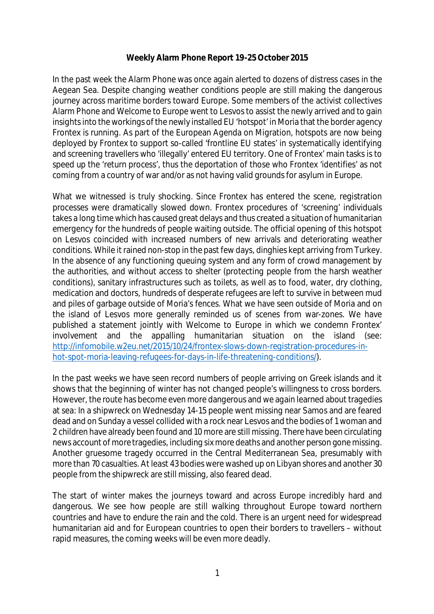## **Weekly Alarm Phone Report 19-25 October 2015**

In the past week the Alarm Phone was once again alerted to dozens of distress cases in the Aegean Sea. Despite changing weather conditions people are still making the dangerous journey across maritime borders toward Europe. Some members of the activist collectives Alarm Phone and Welcome to Europe went to Lesvos to assist the newly arrived and to gain insights into the workings of the newly installed EU 'hotspot' in Moria that the border agency Frontex is running. As part of the European Agenda on Migration, hotspots are now being deployed by Frontex to support so-called 'frontline EU states' in systematically identifying and screening travellers who 'illegally' entered EU territory. One of Frontex' main tasks is to speed up the 'return process', thus the deportation of those who Frontex 'identifies' as not coming from a country of war and/or as not having valid grounds for asylum in Europe.

What we witnessed is truly shocking. Since Frontex has entered the scene, registration processes were dramatically slowed down. Frontex procedures of 'screening' individuals takes a long time which has caused great delays and thus created a situation of humanitarian emergency for the hundreds of people waiting outside. The official opening of this hotspot on Lesvos coincided with increased numbers of new arrivals and deteriorating weather conditions. While it rained non-stop in the past few days, dinghies kept arriving from Turkey. In the absence of any functioning queuing system and any form of crowd management by the authorities, and without access to shelter (protecting people from the harsh weather conditions), sanitary infrastructures such as toilets, as well as to food, water, dry clothing, medication and doctors, hundreds of desperate refugees are left to survive in between mud and piles of garbage outside of Moria's fences. What we have seen outside of Moria and on the island of Lesvos more generally reminded us of scenes from war-zones. We have published a statement jointly with Welcome to Europe in which we condemn Frontex' involvement and the appalling humanitarian situation on the island (see: [http://infomobile.w2eu.net/2015/10/24/frontex-slows-down-registration-procedures-in](http://infomobile.w2eu.net/2015/10/24/frontex-slows-down-registration-procedures-in-)hot-spot-moria-leaving-refugees-for-days-in-life-threatening-conditions/).

In the past weeks we have seen record numbers of people arriving on Greek islands and it shows that the beginning of winter has not changed people's willingness to cross borders. However, the route has become even more dangerous and we again learned about tragedies at sea: In a shipwreck on Wednesday 14-15 people went missing near Samos and are feared dead and on Sunday a vessel collided with a rock near Lesvos and the bodies of 1 woman and 2 children have already been found and 10 more are still missing. There have been circulating news account of more tragedies, including six more deaths and another person gone missing. Another gruesome tragedy occurred in the Central Mediterranean Sea, presumably with more than 70 casualties. At least 43 bodies were washed up on Libyan shores and another 30 people from the shipwreck are still missing, also feared dead.

The start of winter makes the journeys toward and across Europe incredibly hard and dangerous. We see how people are still walking throughout Europe toward northern countries and have to endure the rain and the cold. There is an urgent need for widespread humanitarian aid and for European countries to open their borders to travellers – without rapid measures, the coming weeks will be even more deadly.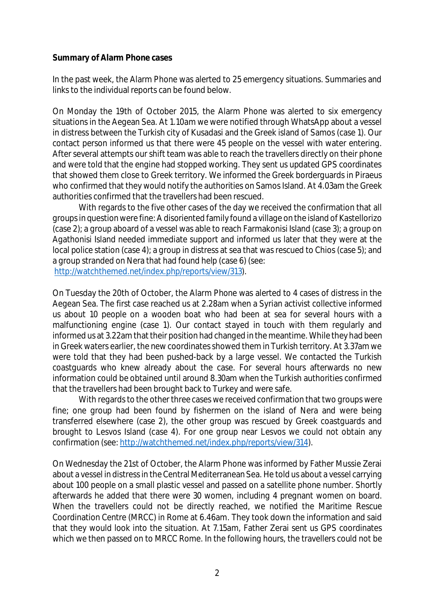## **Summary of Alarm Phone cases**

In the past week, the Alarm Phone was alerted to 25 emergency situations. Summaries and links to the individual reports can be found below.

On Monday the 19th of October 2015, the Alarm Phone was alerted to six emergency situations in the Aegean Sea. At 1.10am we were notified through WhatsApp about a vessel in distress between the Turkish city of Kusadasi and the Greek island of Samos (case 1). Our contact person informed us that there were 45 people on the vessel with water entering. After several attempts our shift team was able to reach the travellers directly on their phone and were told that the engine had stopped working. They sent us updated GPS coordinates that showed them close to Greek territory. We informed the Greek borderguards in Piraeus who confirmed that they would notify the authorities on Samos Island. At 4.03am the Greek authorities confirmed that the travellers had been rescued.

With regards to the five other cases of the day we received the confirmation that all groups in question were fine: A disoriented family found a village on the island of Kastellorizo (case 2); a group aboard of a vessel was able to reach Farmakonisi Island (case 3); a group on Agathonisi Island needed immediate support and informed us later that they were at the local police station (case 4); a group in distress at sea that was rescued to Chios (case 5); and a group stranded on Nera that had found help (case 6) (see:

[http://watchthemed.net/index.php/reports/view/313\).](http://watchthemed.net/index.php/reports/view/313).)

On Tuesday the 20th of October, the Alarm Phone was alerted to 4 cases of distress in the Aegean Sea. The first case reached us at 2.28am when a Syrian activist collective informed us about 10 people on a wooden boat who had been at sea for several hours with a malfunctioning engine (case 1). Our contact stayed in touch with them regularly and informed us at 3.22am that their position had changed in the meantime. While they had been in Greek waters earlier, the new coordinates showed them in Turkish territory. At 3.37am we were told that they had been pushed-back by a large vessel. We contacted the Turkish coastguards who knew already about the case. For several hours afterwards no new information could be obtained until around 8.30am when the Turkish authorities confirmed that the travellers had been brought back to Turkey and were safe.

With regards to the other three cases we received confirmation that two groups were fine; one group had been found by fishermen on the island of Nera and were being transferred elsewhere (case 2), the other group was rescued by Greek coastguards and brought to Lesvos Island (case 4). For one group near Lesvos we could not obtain any confirmation (see: [http://watchthemed.net/index.php/reports/view/314\).](http://watchthemed.net/index.php/reports/view/314).)

On Wednesday the 21st of October, the Alarm Phone was informed by Father Mussie Zerai about a vessel in distress in the Central Mediterranean Sea. He told us about a vessel carrying about 100 people on a small plastic vessel and passed on a satellite phone number. Shortly afterwards he added that there were 30 women, including 4 pregnant women on board. When the travellers could not be directly reached, we notified the Maritime Rescue Coordination Centre (MRCC) in Rome at 6.46am. They took down the information and said that they would look into the situation. At 7.15am, Father Zerai sent us GPS coordinates which we then passed on to MRCC Rome. In the following hours, the travellers could not be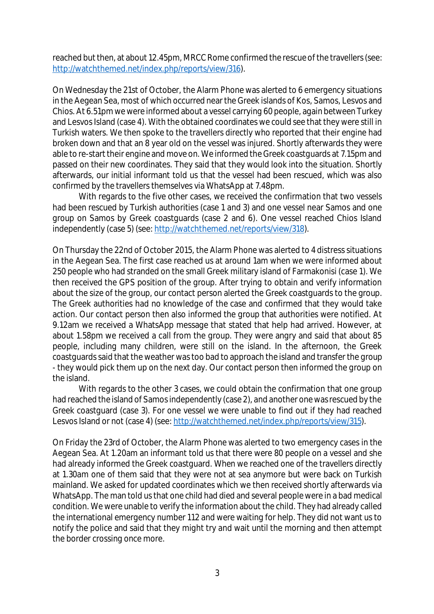reached but then, at about 12.45pm, MRCC Rome confirmed the rescue of the travellers (see: [http://watchthemed.net/index.php/reports/view/316\).](http://watchthemed.net/index.php/reports/view/316).)

On Wednesday the 21st of October, the Alarm Phone was alerted to 6 emergency situations in the Aegean Sea, most of which occurred near the Greek islands of Kos, Samos, Lesvos and Chios.At 6.51pm we were informed about a vessel carrying 60 people, again between Turkey and Lesvos Island (case 4). With the obtained coordinates we could see that they were still in Turkish waters. We then spoke to the travellers directly who reported that their engine had broken down and that an 8 year old on the vessel was injured. Shortly afterwards they were able to re-start their engine and move on. We informed the Greek coastguards at 7.15pm and passed on their new coordinates. They said that they would look into the situation. Shortly afterwards, our initial informant told us that the vessel had been rescued, which was also confirmed by the travellers themselves via WhatsApp at 7.48pm.

With regards to the five other cases, we received the confirmation that two vessels had been rescued by Turkish authorities (case 1 and 3) and one vessel near Samos and one group on Samos by Greek coastguards (case 2 and 6). One vessel reached Chios Island independently (case 5) (see: [http://watchthemed.net/reports/view/318\).](http://watchthemed.net/reports/view/318).) 

On Thursday the 22nd of October 2015, the Alarm Phone was alerted to 4 distress situations in the Aegean Sea. The first case reached us at around 1am when we were informed about 250 people who had stranded on the small Greek military island of Farmakonisi (case 1). We then received the GPS position of the group. After trying to obtain and verify information about the size of the group, our contact person alerted the Greek coastguards to the group. The Greek authorities had no knowledge of the case and confirmed that they would take action. Our contact person then also informed the group that authorities were notified. At 9.12am we received a WhatsApp message that stated that help had arrived. However, at about 1.58pm we received a call from the group. They were angry and said that about 85 people, including many children, were still on the island. In the afternoon, the Greek coastguards said that the weather was too bad to approach the island and transfer the group - they would pick them up on the next day. Our contact person then informed the group on the island.

With regards to the other 3 cases, we could obtain the confirmation that one group had reached the island of Samos independently (case 2), and another one was rescued by the Greek coastguard (case 3). For one vessel we were unable to find out if they had reached Lesvos Island or not (case 4) (see: [http://watchthemed.net/index.php/reports/view/315\).](http://watchthemed.net/index.php/reports/view/315).)

On Friday the 23rd of October, the Alarm Phone was alerted to two emergency cases in the Aegean Sea. At 1.20am an informant told us that there were 80 people on a vessel and she had already informed the Greek coastguard. When we reached one of the travellers directly at 1.30am one of them said that they were not at sea anymore but were back on Turkish mainland. We asked for updated coordinates which we then received shortly afterwards via WhatsApp. The man told us that one child had died and several people were in a bad medical condition. We were unable to verify the information about the child. They had already called the international emergency number 112 and were waiting for help. They did not want us to notify the police and said that they might try and wait until the morning and then attempt the border crossing once more.